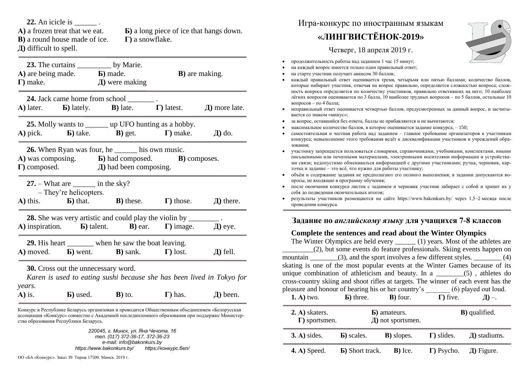**22.** An icicle is

**В)** a round house made of ice. **Г)** a snowflake. **Д)** difficult to spell.

**А)** a frozen treat that we eat. **Б)** a long piece of ice that hangs down.

| 23. The curtains ____________ by Marie.<br><b>A</b> ) are being made. <b>b</b> ) made.<br>$\Gamma$ ) make.                                                                            |                                                           | $\pi$ were making                                                                                                                                | <b>B</b> ) are making. |                    |  |  |
|---------------------------------------------------------------------------------------------------------------------------------------------------------------------------------------|-----------------------------------------------------------|--------------------------------------------------------------------------------------------------------------------------------------------------|------------------------|--------------------|--|--|
|                                                                                                                                                                                       |                                                           | <b>24.</b> Jack came home from school _________.<br><b>A</b> ) later. <b>b</b> ) lately. <b>B</b> ) late. <b>c</b> ) latest.                     |                        | $\pi$ ) more late. |  |  |
|                                                                                                                                                                                       |                                                           | <b>25.</b> Molly wants to _________ up UFO hunting as a hobby.<br>A) pick. <b>b</b> ) take. <b>b</b> ) get. <b>c</b> $\Gamma$ ) make. $\Box$ do. |                        |                    |  |  |
| <b>26.</b> When Ryan was four, he _______ his own music.<br>A) was composing. <b>b</b> ) had composed. <b>B</b> ) composes.<br>$\Gamma$ ) composed. $\Box$ $\Box$ and been composing. |                                                           |                                                                                                                                                  |                        |                    |  |  |
|                                                                                                                                                                                       | $27. - What are __ in the sky?$<br>- They're helicopters. | A) this. <b>b</b> ) that. <b>b</b> ) these. $\Gamma$ ) those.                                                                                    |                        | $\pi$ ) there.     |  |  |
| 28. She was very artistic and could play the violin by _______<br><b>A</b> ) inspiration. <b>b</b> ) talent. <b>B</b> ) ear. $\Gamma$ ) image.<br>$\pi$ eye.                          |                                                           |                                                                                                                                                  |                        |                    |  |  |
| 29. His heart _______ when he saw the boat leaving.<br><b>A</b> ) moved. <b>b</b> ) went. <b>B</b> ) sank. $\Gamma$ ) lost.<br>$\pi$ fell.                                            |                                                           |                                                                                                                                                  |                        |                    |  |  |
| 30. Cross out the unnecessary word.<br>Karen is used to eating sushi because she has been lived in Tokyo for                                                                          |                                                           |                                                                                                                                                  |                        |                    |  |  |
| years.<br>$A)$ is.                                                                                                                                                                    |                                                           | $\bf{E}$ ) used. $\bf{B}$ ) to.                                                                                                                  | $\Gamma$ ) has.        | $\pi$ ) been.      |  |  |

Конкурс в Республике Беларусь организован и проводится Общественным объединением «Белорусская ассоциация «Конкурс» совместно с Академией последипломного образования при поддержке Министерства образования Республики Беларусь.

> *220045, г. Минск, ул. Яна Чечота, 16 тел. (017) 372-36-17, 372-36-23 e-mail: info@bakonkurs.by https://www.bakonkurs.by/ https://конкурс.бел/*

## Игра-конкурс по иностранным языкам

## **«ЛИНГВИСТЁНОК-2019»**

Четверг, 18 апреля 2019 г.



- продолжительность работы над заданием 1 час 15 минут;
- на каждый вопрос имеется только один правильный ответ;
- на старте участник получает авансом 30 баллов;
- каждый правильный ответ оценивается тремя, четырьмя или пятью баллами; количество баллов, которые набирает участник, отвечая на вопрос правильно, определяется сложностью вопроса; сложность вопроса определяется по количеству участников, правильно ответивших на него; 10 наиболее лёгких вопросов оцениваются по 3 балла, 10 наиболее трудных вопросов – по 5 баллов, остальные 10 вопросов – по 4 балла;
- неправильный ответ оценивается четвертью баллов, предусмотренных за данный вопрос, и засчитывается со знаком «минус»;
- за вопрос, оставшийся без ответа, баллы не прибавляются и не вычитаются;
- максимальное количество баллов, в которое оценивается задание конкурса, 150;
- самостоятельная и честная работа над заданием главное требование организаторов к участникам конкурса; невыполнение этого требования ведёт к дисквалификации участников и учреждений образования;
- участнику запрещается пользоваться словарями, справочниками, учебниками, конспектами, иными письменными или печатными материалами, электронными носителями информации и устройствами связи; недопустимо обмениваться информацией с другими участниками; ручка, черновик, карточка и задание – это всё, что нужно для работы участнику;
- объём и содержание задания не предполагают его полного выполнения; в задании допускаются вопросы, не входящие в программу обучения;
- после окончания конкурса листок с заданием и черновик участник забирает с собой и хранит их у себя до подведения окончательных итогов;
- результаты участников размещаются на сайте https://www.bakonkurs.by/ через 1,5–2 месяца после проведения конкурса.

## **Задание по** *английскому языку* **для учащихся 7-8 классов**

## **Complete the sentences and read about the Winter Olympics**

The Winter Olympics are held every (1) years. Most of the athletes are \_\_\_\_\_\_\_\_\_(2), but some events do feature professionals. Skiing events happen on mountain (3), and the sport involves a few different styles. (4) skating is one of the most popular events at the Winter Games because of its unique combination of athleticism and beauty. In a  $\qquad$  (5), athletes do cross-country skiing and shoot rifles at targets. The winner of each event has the pleasure and honour of hearing his or her country's \_\_\_\_\_\_\_ (6) played out loud. **1. A**) two.  $\bullet$  **<b>G**) three. **B**) four.  $\bullet$   $\bullet$  **I**) five.  $\bullet$   $\bullet$  **D**) –. **2. А)** skaters. **Б)** amateurs. **В)** qualified. **Г)** sportsmen. **Д)** not sportsmen. **3. А)** sides. **Б)** scales. **В)** slopes. **Г)** slides. **Д)** stadiums. **4. А)** Speed. **Б)** Short track. **В)** Ice. **Г)** Psycho. **Д)** Figure.